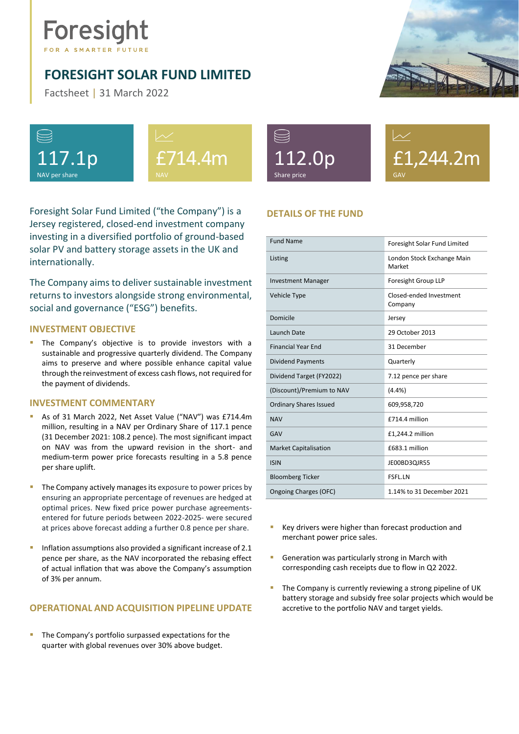# Foresight

# <span id="page-0-0"></span>**FORESIGHT SOLAR FUND LIMITED**

Factsheet | 31 March 2022









£1,244.2m GAV

Foresight Solar Fund Limited ("the Company") is a Jersey registered, closed-end investment company investing in a diversified portfolio of ground-based solar PV and battery storage assets in the UK and internationally.

The Company aims to deliver sustainable investment returns to investors alongside strong environmental, social and governance ("ESG") benefits.

## **INVESTMENT OBJECTIVE**

The Company's objective is to provide investors with a sustainable and progressive quarterly dividend. The Company aims to preserve and where possible enhance capital value through the reinvestment of excess cash flows, not required for the payment of dividends.

### **INVESTMENT COMMENTARY**

- As of 31 March 2022, Net Asset Value ("NAV") was £714.4m million, resulting in a NAV per Ordinary Share of 117.1 pence (31 December 2021: 108.2 pence). The most significant impact on NAV was from the upward revision in the short- and medium-term power price forecasts resulting in a 5.8 pence per share uplift.
- **·** The Company actively manages its exposure to power prices by ensuring an appropriate percentage of revenues are hedged at optimal prices. New fixed price power purchase agreementsentered for future periods between 2022-2025- were secured at prices above forecast adding a further 0.8 pence per share.
- Inflation assumptions also provided a significant increase of 2.1 pence per share, as the NAV incorporated the rebasing effect of actual inflation that was above the Company's assumption of 3% per annum.

# **OPERATIONAL AND ACQUISITION PIPELINE UPDATE**

The Company's portfolio surpassed expectations for the quarter with global revenues over 30% above budget.

# **DETAILS OF THE FUND**

| <b>Fund Name</b>              | Foresight Solar Fund Limited         |  |
|-------------------------------|--------------------------------------|--|
| Listing                       | London Stock Exchange Main<br>Market |  |
| <b>Investment Manager</b>     | Foresight Group LLP                  |  |
| Vehicle Type                  | Closed-ended Investment<br>Company   |  |
| Domicile                      | Jersey                               |  |
| Launch Date                   | 29 October 2013                      |  |
| <b>Financial Year Fnd</b>     | 31 December                          |  |
| <b>Dividend Payments</b>      | Quarterly                            |  |
| Dividend Target (FY2022)      | 7.12 pence per share                 |  |
| (Discount)/Premium to NAV     | $(4.4\%)$                            |  |
| <b>Ordinary Shares Issued</b> | 609,958,720                          |  |
| <b>NAV</b>                    | £714.4 million                       |  |
| GAV                           | £1,244.2 million                     |  |
| <b>Market Capitalisation</b>  | £683.1 million                       |  |
| <b>ISIN</b>                   | JE00BD3QJR55                         |  |
| <b>Bloomberg Ticker</b>       | <b>FSFL.LN</b>                       |  |
| Ongoing Charges (OFC)         | 1.14% to 31 December 2021            |  |

- Key drivers were higher than forecast production and merchant power price sales.
- **E** Generation was particularly strong in March with corresponding cash receipts due to flow in Q2 2022.
- The Company is currently reviewing a strong pipeline of UK battery storage and subsidy free solar projects which would be accretive to the portfolio NAV and target yields.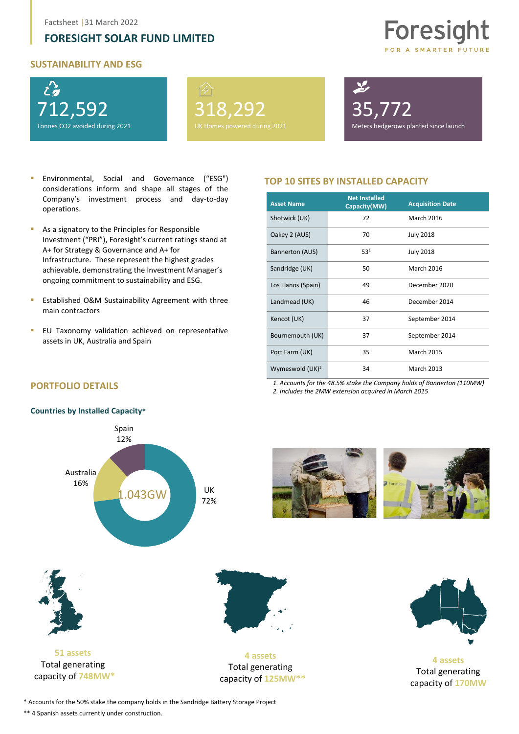# **[FORESIGHT SOLAR FUND LIMITED](#page-0-0)**

#### **SUSTAINABILITY AND ESG**



318,292

35,772

Meters hedgerows planted since launch

Foresight

OR A SMARTER FUTURE

- Environmental, Social and Governance ("ESG") considerations inform and shape all stages of the Company's investment process and day-to-day operations.
- As a signatory to the Principles for Responsible Investment ("PRI"), Foresight's current ratings stand at A+ for Strategy & Governance and A+ for Infrastructure. These represent the highest grades achievable, demonstrating the Investment Manager's ongoing commitment to sustainability and ESG.
- Established O&M Sustainability Agreement with three main contractors
- **EU Taxonomy validation achieved on representative** assets in UK, Australia and Spain

#### **TOP 10 SITES BY INSTALLED CAPACITY**

| <b>Asset Name</b>  | <b>Net Installed</b><br>Capacity(MW) | <b>Acquisition Date</b> |
|--------------------|--------------------------------------|-------------------------|
| Shotwick (UK)      | 72                                   | <b>March 2016</b>       |
| Oakey 2 (AUS)      | 70                                   | <b>July 2018</b>        |
| Bannerton (AUS)    | 531                                  | <b>July 2018</b>        |
| Sandridge (UK)     | 50                                   | <b>March 2016</b>       |
| Los Llanos (Spain) | 49                                   | December 2020           |
| Landmead (UK)      | 46                                   | December 2014           |
| Kencot (UK)        | 37                                   | September 2014          |
| Bournemouth (UK)   | 37                                   | September 2014          |
| Port Farm (UK)     | 35                                   | <b>March 2015</b>       |
| Wymeswold $(UK)^2$ | 34                                   | <b>March 2013</b>       |

*1. Accounts for the 48.5% stake the Company holds of Bannerton (110MW) 2. Includes the 2MW extension acquired in March 2015*



**PORTFOLIO DETAILS**





**4 assets** Total generating capacity of **125MW\*\***



**4 assets**  Total generating capacity of **170MW**

\* Accounts for the 50% stake the company holds in the Sandridge Battery Storage Project

\*\* 4 Spanish assets currently under construction.